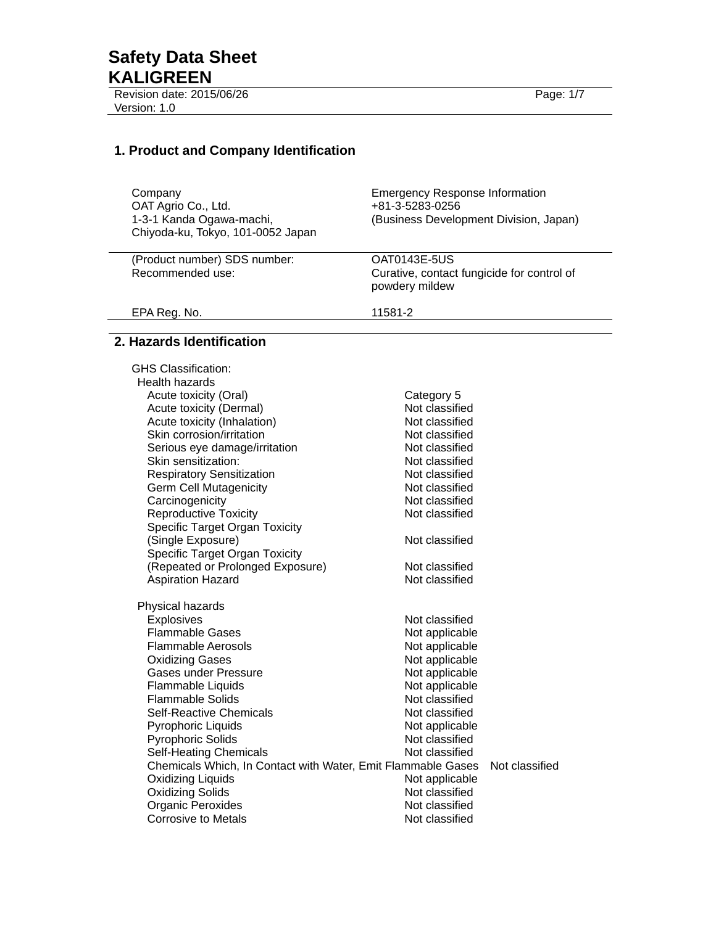Revision date: 2015/06/26 Page: 1/7 Version: 1.0 

# **1. Product and Company Identification**

| Company<br>OAT Agrio Co., Ltd.<br>1-3-1 Kanda Ogawa-machi,<br>Chiyoda-ku, Tokyo, 101-0052 Japan | <b>Emergency Response Information</b><br>+81-3-5283-0256<br>(Business Development Division, Japan) |
|-------------------------------------------------------------------------------------------------|----------------------------------------------------------------------------------------------------|
| (Product number) SDS number:<br>Recommended use:                                                | OAT0143E-5US<br>Curative, contact fungicide for control of<br>powdery mildew                       |
| EPA Reg. No.                                                                                    | 11581-2                                                                                            |

## **2. Hazards Identification**

| <b>GHS Classification:</b>                                   |                |                |
|--------------------------------------------------------------|----------------|----------------|
| <b>Health hazards</b>                                        |                |                |
| Acute toxicity (Oral)                                        | Category 5     |                |
| Acute toxicity (Dermal)                                      | Not classified |                |
| Acute toxicity (Inhalation)                                  | Not classified |                |
| Skin corrosion/irritation                                    | Not classified |                |
| Serious eye damage/irritation                                | Not classified |                |
| Skin sensitization:                                          | Not classified |                |
| <b>Respiratory Sensitization</b>                             | Not classified |                |
| <b>Germ Cell Mutagenicity</b>                                | Not classified |                |
| Carcinogenicity                                              | Not classified |                |
| <b>Reproductive Toxicity</b>                                 | Not classified |                |
| <b>Specific Target Organ Toxicity</b>                        |                |                |
| (Single Exposure)                                            | Not classified |                |
| <b>Specific Target Organ Toxicity</b>                        |                |                |
| (Repeated or Prolonged Exposure)                             | Not classified |                |
| <b>Aspiration Hazard</b>                                     | Not classified |                |
|                                                              |                |                |
| Physical hazards<br><b>Explosives</b>                        | Not classified |                |
| <b>Flammable Gases</b>                                       | Not applicable |                |
| Flammable Aerosols                                           | Not applicable |                |
| <b>Oxidizing Gases</b>                                       | Not applicable |                |
| <b>Gases under Pressure</b>                                  | Not applicable |                |
| Flammable Liquids                                            | Not applicable |                |
| <b>Flammable Solids</b>                                      | Not classified |                |
| Self-Reactive Chemicals                                      | Not classified |                |
| Pyrophoric Liquids                                           | Not applicable |                |
| <b>Pyrophoric Solids</b>                                     | Not classified |                |
| <b>Self-Heating Chemicals</b>                                | Not classified |                |
| Chemicals Which, In Contact with Water, Emit Flammable Gases |                | Not classified |
| Oxidizing Liquids                                            | Not applicable |                |
| <b>Oxidizing Solids</b>                                      | Not classified |                |
| Organic Peroxides                                            | Not classified |                |
| Corrosive to Metals                                          | Not classified |                |
|                                                              |                |                |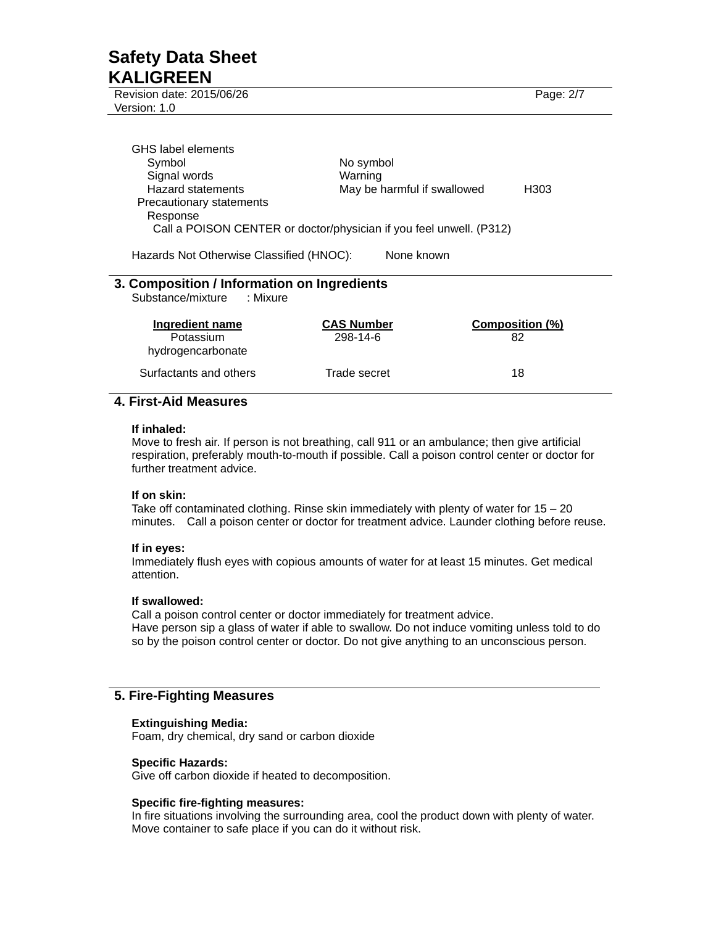Revision date: 2015/06/26 Page: 2/7 Version: 1.0

| GHS label elements                                                  |                             |      |
|---------------------------------------------------------------------|-----------------------------|------|
| Symbol                                                              | No symbol                   |      |
| Signal words                                                        | Warning                     |      |
| <b>Hazard statements</b>                                            | May be harmful if swallowed | H303 |
| Precautionary statements                                            |                             |      |
| Response                                                            |                             |      |
| Call a POISON CENTER or doctor/physician if you feel unwell. (P312) |                             |      |
|                                                                     |                             |      |
| Hazards Not Otherwise Classified (HNOC):                            | None known                  |      |
|                                                                     |                             |      |
| 3. Composition / Information on Ingredients                         |                             |      |

Substance/mixture : Mixure

| Ingredient name<br>Potassium<br>hydrogencarbonate | <b>CAS Number</b><br>298-14-6 | Composition (%)<br>82 |
|---------------------------------------------------|-------------------------------|-----------------------|
| Surfactants and others                            | Trade secret                  | 18                    |

## **4. First-Aid Measures**

#### **If inhaled:**

Move to fresh air. If person is not breathing, call 911 or an ambulance; then give artificial respiration, preferably mouth-to-mouth if possible. Call a poison control center or doctor for further treatment advice.

## **If on skin:**

Take off contaminated clothing. Rinse skin immediately with plenty of water for 15 – 20 minutes. Call a poison center or doctor for treatment advice. Launder clothing before reuse.

## **If in eyes:**

Immediately flush eyes with copious amounts of water for at least 15 minutes. Get medical attention.

## **If swallowed:**

Call a poison control center or doctor immediately for treatment advice. Have person sip a glass of water if able to swallow. Do not induce vomiting unless told to do so by the poison control center or doctor. Do not give anything to an unconscious person.

## **5. Fire-Fighting Measures**

## **Extinguishing Media:**

Foam, dry chemical, dry sand or carbon dioxide

#### **Specific Hazards:**

Give off carbon dioxide if heated to decomposition.

## **Specific fire-fighting measures:**

In fire situations involving the surrounding area, cool the product down with plenty of water. Move container to safe place if you can do it without risk.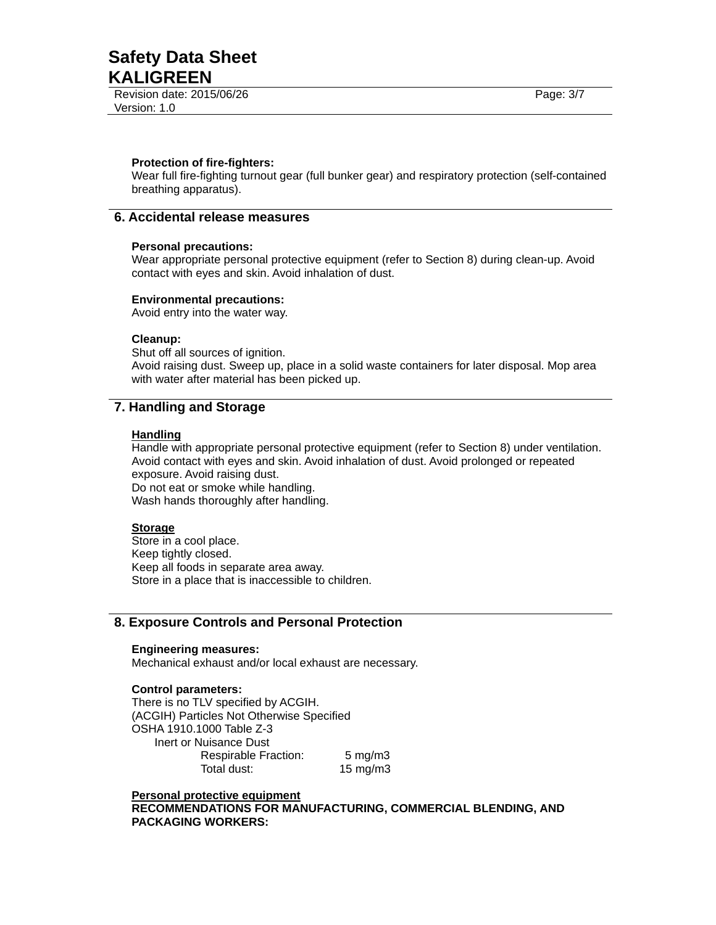Revision date: 2015/06/26 Page: 3/7 Version: 1.0

#### **Protection of fire-fighters:**

Wear full fire-fighting turnout gear (full bunker gear) and respiratory protection (self-contained breathing apparatus).

## **6. Accidental release measures**

#### **Personal precautions:**

Wear appropriate personal protective equipment (refer to Section 8) during clean-up. Avoid contact with eyes and skin. Avoid inhalation of dust.

#### **Environmental precautions:**

Avoid entry into the water way.

#### **Cleanup:**

Shut off all sources of ignition. Avoid raising dust. Sweep up, place in a solid waste containers for later disposal. Mop area with water after material has been picked up.

## **7. Handling and Storage**

#### **Handling**

Handle with appropriate personal protective equipment (refer to Section 8) under ventilation. Avoid contact with eyes and skin. Avoid inhalation of dust. Avoid prolonged or repeated exposure. Avoid raising dust.

Do not eat or smoke while handling. Wash hands thoroughly after handling.

#### **Storage**

Store in a cool place. Keep tightly closed. Keep all foods in separate area away. Store in a place that is inaccessible to children.

## **8. Exposure Controls and Personal Protection**

#### **Engineering measures:**

Mechanical exhaust and/or local exhaust are necessary.

#### **Control parameters:**

There is no TLV specified by ACGIH. (ACGIH) Particles Not Otherwise Specified OSHA 1910.1000 Table Z-3 Inert or Nuisance Dust Respirable Fraction: 5 mg/m3 Total dust: 15 mg/m3

**Personal protective equipment RECOMMENDATIONS FOR MANUFACTURING, COMMERCIAL BLENDING, AND PACKAGING WORKERS:**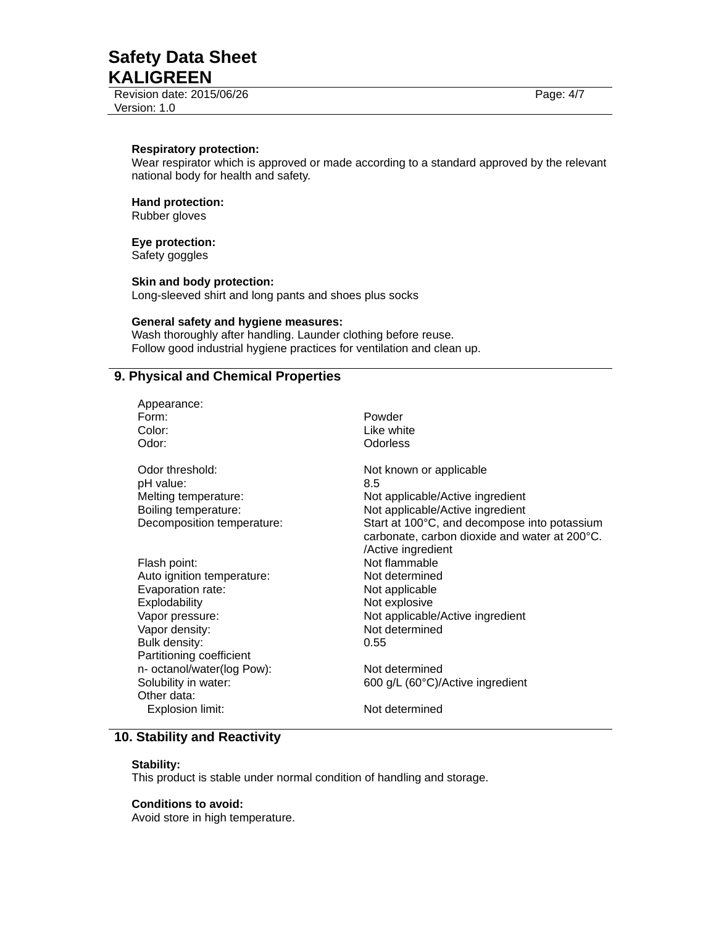Revision date: 2015/06/26 Page: 4/7 Version: 1.0

#### **Respiratory protection:**

Wear respirator which is approved or made according to a standard approved by the relevant national body for health and safety.

#### **Hand protection:**

Rubber gloves

#### **Eye protection:**

Safety goggles

## **Skin and body protection:**

Long-sleeved shirt and long pants and shoes plus socks

## **General safety and hygiene measures:**

Wash thoroughly after handling. Launder clothing before reuse. Follow good industrial hygiene practices for ventilation and clean up.

## **9. Physical and Chemical Properties**

| Appearance:<br>Form:<br>Color:<br>Odor:                                                                    | Powder<br>Like white<br><b>Odorless</b>                                                                                                                                                                                       |
|------------------------------------------------------------------------------------------------------------|-------------------------------------------------------------------------------------------------------------------------------------------------------------------------------------------------------------------------------|
| Odor threshold:<br>pH value:<br>Melting temperature:<br>Boiling temperature:<br>Decomposition temperature: | Not known or applicable<br>8.5<br>Not applicable/Active ingredient<br>Not applicable/Active ingredient<br>Start at 100°C, and decompose into potassium<br>carbonate, carbon dioxide and water at 200°C.<br>/Active ingredient |
| Flash point:                                                                                               | Not flammable                                                                                                                                                                                                                 |
| Auto ignition temperature:                                                                                 | Not determined                                                                                                                                                                                                                |
| Evaporation rate:                                                                                          | Not applicable                                                                                                                                                                                                                |
| Explodability                                                                                              | Not explosive                                                                                                                                                                                                                 |
| Vapor pressure:                                                                                            | Not applicable/Active ingredient                                                                                                                                                                                              |
| Vapor density:                                                                                             | Not determined                                                                                                                                                                                                                |
| Bulk density:                                                                                              | 0.55                                                                                                                                                                                                                          |
| Partitioning coefficient                                                                                   |                                                                                                                                                                                                                               |
| n- octanol/water(log Pow):                                                                                 | Not determined                                                                                                                                                                                                                |
| Solubility in water:<br>Other data:                                                                        | 600 g/L (60°C)/Active ingredient                                                                                                                                                                                              |
| Explosion limit:                                                                                           | Not determined                                                                                                                                                                                                                |

## **10. Stability and Reactivity**

### **Stability:**

This product is stable under normal condition of handling and storage.

#### **Conditions to avoid:**

Avoid store in high temperature.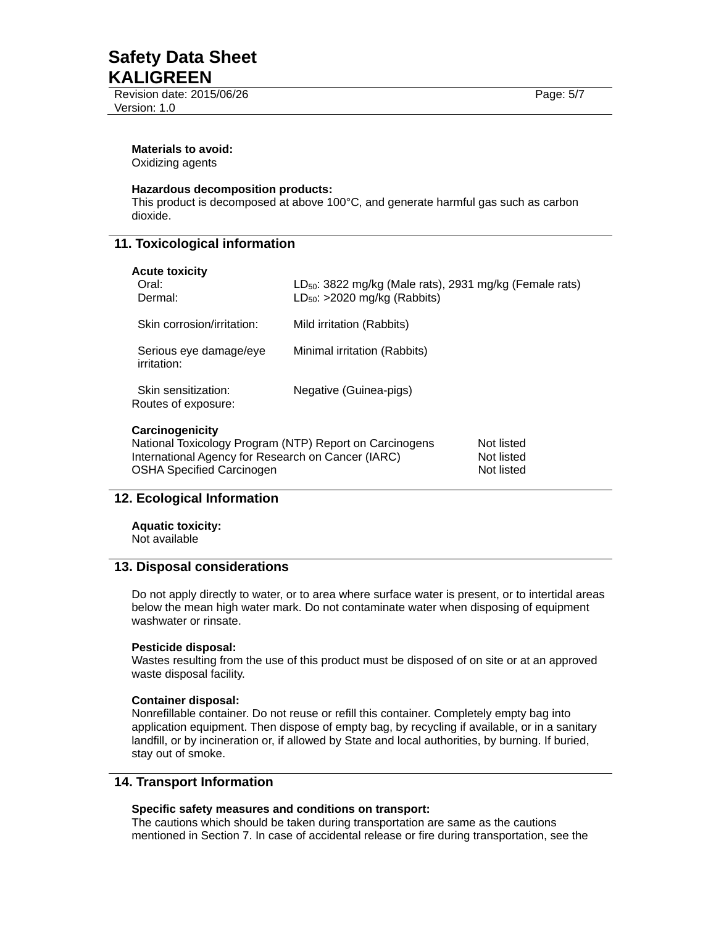Revision date: 2015/06/26 Page: 5/7 Version: 1.0

#### **Materials to avoid:**

Oxidizing agents

### **Hazardous decomposition products:**

This product is decomposed at above 100°C, and generate harmful gas such as carbon dioxide.

## **11. Toxicological information**

| <b>Acute toxicity</b><br>Oral:<br>Dermal:                                                                                                                            | $LD_{50}$ : 3822 mg/kg (Male rats), 2931 mg/kg (Female rats)<br>$LD_{50}$ : >2020 mg/kg (Rabbits) |
|----------------------------------------------------------------------------------------------------------------------------------------------------------------------|---------------------------------------------------------------------------------------------------|
| Skin corrosion/irritation:                                                                                                                                           | Mild irritation (Rabbits)                                                                         |
| Serious eye damage/eye<br>irritation:                                                                                                                                | Minimal irritation (Rabbits)                                                                      |
| Skin sensitization:<br>Routes of exposure:                                                                                                                           | Negative (Guinea-pigs)                                                                            |
| Carcinogenicity<br>National Toxicology Program (NTP) Report on Carcinogens<br>International Agency for Research on Cancer (IARC)<br><b>OSHA Specified Carcinogen</b> | Not listed<br>Not listed<br>Not listed                                                            |

## **12. Ecological Information**

**Aquatic toxicity:**  Not available

## **13. Disposal considerations**

Do not apply directly to water, or to area where surface water is present, or to intertidal areas below the mean high water mark. Do not contaminate water when disposing of equipment washwater or rinsate

#### **Pesticide disposal:**

Wastes resulting from the use of this product must be disposed of on site or at an approved waste disposal facility.

#### **Container disposal:**

Nonrefillable container. Do not reuse or refill this container. Completely empty bag into application equipment. Then dispose of empty bag, by recycling if available, or in a sanitary landfill, or by incineration or, if allowed by State and local authorities, by burning. If buried, stay out of smoke.

### **14. Transport Information**

## **Specific safety measures and conditions on transport:**

The cautions which should be taken during transportation are same as the cautions mentioned in Section 7. In case of accidental release or fire during transportation, see the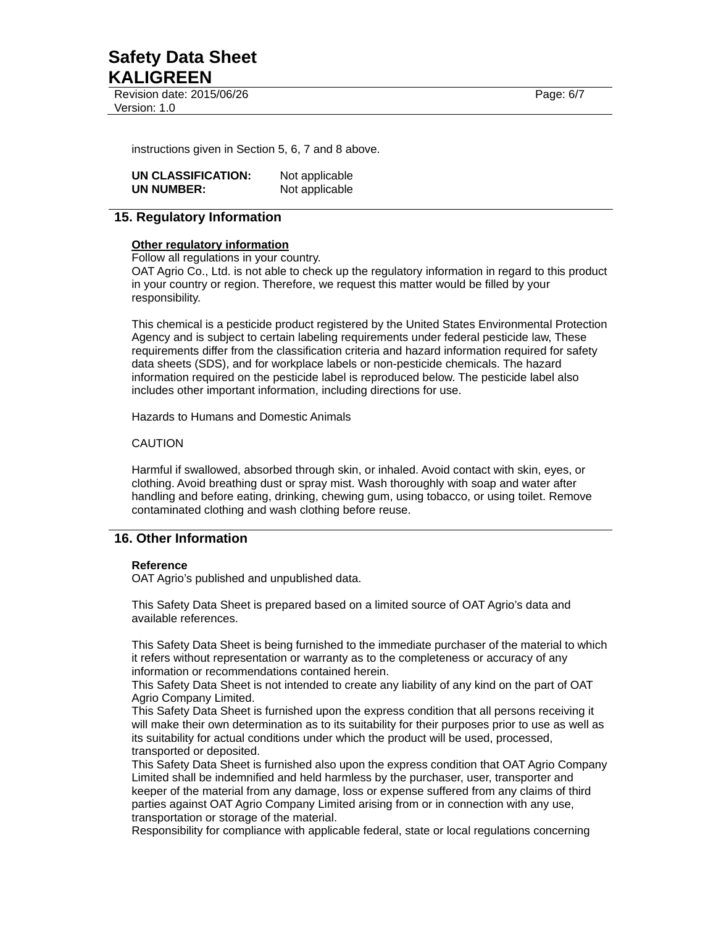Revision date: 2015/06/26 Page: 6/7 Version: 1.0

instructions given in Section 5, 6, 7 and 8 above.

| UN CLASSIFICATION: | Not applicable |
|--------------------|----------------|
| UN NUMBER:         | Not applicable |

## **15. Regulatory Information**

#### **Other regulatory information**

Follow all regulations in your country.

OAT Agrio Co., Ltd. is not able to check up the regulatory information in regard to this product in your country or region. Therefore, we request this matter would be filled by your responsibility.

This chemical is a pesticide product registered by the United States Environmental Protection Agency and is subject to certain labeling requirements under federal pesticide law, These requirements differ from the classification criteria and hazard information required for safety data sheets (SDS), and for workplace labels or non-pesticide chemicals. The hazard information required on the pesticide label is reproduced below. The pesticide label also includes other important information, including directions for use.

Hazards to Humans and Domestic Animals

#### CAUTION

Harmful if swallowed, absorbed through skin, or inhaled. Avoid contact with skin, eyes, or clothing. Avoid breathing dust or spray mist. Wash thoroughly with soap and water after handling and before eating, drinking, chewing gum, using tobacco, or using toilet. Remove contaminated clothing and wash clothing before reuse.

## **16. Other Information**

#### **Reference**

OAT Agrio's published and unpublished data.

This Safety Data Sheet is prepared based on a limited source of OAT Agrio's data and available references.

This Safety Data Sheet is being furnished to the immediate purchaser of the material to which it refers without representation or warranty as to the completeness or accuracy of any information or recommendations contained herein.

This Safety Data Sheet is not intended to create any liability of any kind on the part of OAT Agrio Company Limited.

This Safety Data Sheet is furnished upon the express condition that all persons receiving it will make their own determination as to its suitability for their purposes prior to use as well as its suitability for actual conditions under which the product will be used, processed, transported or deposited.

This Safety Data Sheet is furnished also upon the express condition that OAT Agrio Company Limited shall be indemnified and held harmless by the purchaser, user, transporter and keeper of the material from any damage, loss or expense suffered from any claims of third parties against OAT Agrio Company Limited arising from or in connection with any use, transportation or storage of the material.

Responsibility for compliance with applicable federal, state or local regulations concerning